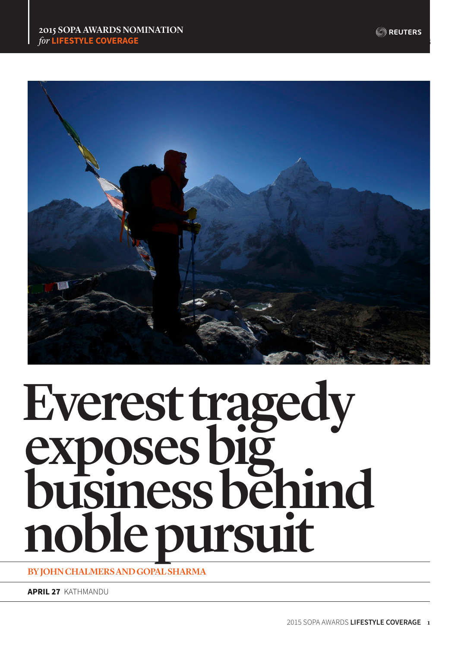

# Everest tragedy exposes big business behind noble pursuit

BY JOHN CHALMERS AND GOPAL SHARMA

**APRIL 27** KATHMANDU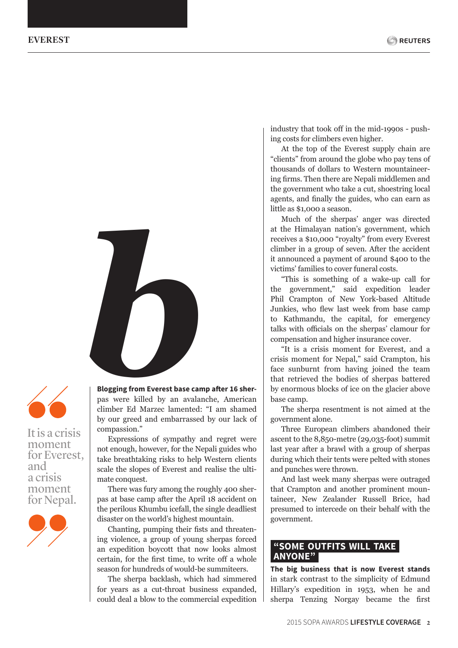

It is a crisis moment for Everest, and a crisis moment for Nepal.



**Blogging from Everest base camp after 16 sher**pas were killed by an avalanche, American climber Ed Marzec lamented: "I am shamed by our greed and embarrassed by our lack of compassion."

Expressions of sympathy and regret were not enough, however, for the Nepali guides who take breathtaking risks to help Western clients scale the slopes of Everest and realise the ultimate conquest.

There was fury among the roughly 400 sherpas at base camp after the April 18 accident on the perilous Khumbu icefall, the single deadliest disaster on the world's highest mountain.

Chanting, pumping their fists and threatening violence, a group of young sherpas forced an expedition boycott that now looks almost certain, for the first time, to write off a whole season for hundreds of would-be summiteers.

The sherpa backlash, which had simmered for years as a cut-throat business expanded, could deal a blow to the commercial expedition

industry that took off in the mid-1990s - pushing costs for climbers even higher.

At the top of the Everest supply chain are "clients" from around the globe who pay tens of thousands of dollars to Western mountaineering firms. Then there are Nepali middlemen and the government who take a cut, shoestring local agents, and finally the guides, who can earn as little as \$1,000 a season.

Much of the sherpas' anger was directed at the Himalayan nation's government, which receives a \$10,000 "royalty" from every Everest climber in a group of seven. After the accident it announced a payment of around \$400 to the victims' families to cover funeral costs.

"This is something of a wake-up call for the government," said expedition leader Phil Crampton of New York-based Altitude Junkies, who flew last week from base camp to Kathmandu, the capital, for emergency talks with officials on the sherpas' clamour for compensation and higher insurance cover.

"It is a crisis moment for Everest, and a crisis moment for Nepal," said Crampton, his face sunburnt from having joined the team that retrieved the bodies of sherpas battered by enormous blocks of ice on the glacier above base camp.

The sherpa resentment is not aimed at the government alone.

Three European climbers abandoned their ascent to the 8,850-metre (29,035-foot) summit last year after a brawl with a group of sherpas during which their tents were pelted with stones and punches were thrown.

And last week many sherpas were outraged that Crampton and another prominent mountaineer, New Zealander Russell Brice, had presumed to intercede on their behalf with the government.

# **"SOME OUTFITS WILL TAKE ANYONE"**

**The big business that is now Everest stands**  in stark contrast to the simplicity of Edmund Hillary's expedition in 1953, when he and sherpa Tenzing Norgay became the first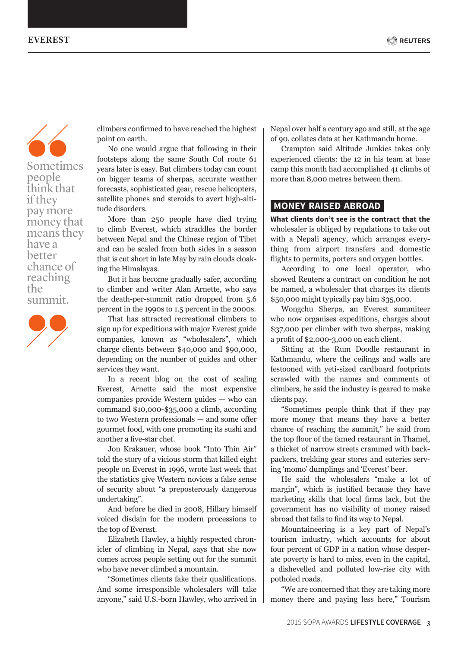Sometimes people think that if they pay more money that means they have a better chance of reaching the summit.



climbers confirmed to have reached the highest point on earth.

No one would argue that following in their footsteps along the same South Col route 61 years later is easy. But climbers today can count on bigger teams of sherpas, accurate weather forecasts, sophisticated gear, rescue helicopters, satellite phones and steroids to avert high-altitude disorders.

More than 250 people have died trying to climb Everest, which straddles the border between Nepal and the Chinese region of Tibet and can be scaled from both sides in a season that is cut short in late May by rain clouds cloaking the Himalayas.

But it has become gradually safer, according to climber and writer Alan Arnette, who says the death-per-summit ratio dropped from 5.6 percent in the 1990s to 1.5 percent in the 2000s.

That has attracted recreational climbers to sign up for expeditions with major Everest guide companies, known as "wholesalers", which charge clients between \$40,000 and \$90,000, depending on the number of guides and other services they want.

In a recent blog on the cost of scaling Everest, Arnette said the most expensive companies provide Western guides — who can command \$10,000-\$35,000 a climb, according to two Western professionals — and some offer gourmet food, with one promoting its sushi and another a five-star chef.

Jon Krakauer, whose book "Into Thin Air" told the story of a vicious storm that killed eight people on Everest in 1996, wrote last week that the statistics give Western novices a false sense of security about "a preposterously dangerous undertaking".

And before he died in 2008, Hillary himself voiced disdain for the modern processions to the top of Everest.

Elizabeth Hawley, a highly respected chronicler of climbing in Nepal, says that she now comes across people setting out for the summit who have never climbed a mountain.

"Sometimes clients fake their qualifications. And some irresponsible wholesalers will take anyone," said U.S.-born Hawley, who arrived in

Nepal over half a century ago and still, at the age of 90, collates data at her Kathmandu home.

Crampton said Altitude Junkies takes only experienced clients: the 12 in his team at base camp this month had accomplished 41 climbs of more than 8,000 metres between them.

### **MONEY RAISED ABROAD**

**What clients don't see is the contract that the** wholesaler is obliged by regulations to take out with a Nepali agency, which arranges everything from airport transfers and domestic flights to permits, porters and oxygen bottles.

According to one local operator, who showed Reuters a contract on condition he not be named, a wholesaler that charges its clients \$50,000 might typically pay him \$35,000.

Wongchu Sherpa, an Everest summiteer who now organises expeditions, charges about \$37,000 per climber with two sherpas, making a profit of \$2,000-3,000 on each client.

Sitting at the Rum Doodle restaurant in Kathmandu, where the ceilings and walls are festooned with yeti-sized cardboard footprints scrawled with the names and comments of climbers, he said the industry is geared to make clients pay.

"Sometimes people think that if they pay more money that means they have a better chance of reaching the summit," he said from the top floor of the famed restaurant in Thamel, a thicket of narrow streets crammed with backpackers, trekking gear stores and eateries serving 'momo' dumplings and 'Everest' beer.

He said the wholesalers "make a lot of margin", which is justified because they have marketing skills that local firms lack, but the government has no visibility of money raised abroad that fails to find its way to Nepal.

Mountaineering is a key part of Nepal's tourism industry, which accounts for about four percent of GDP in a nation whose desperate poverty is hard to miss, even in the capital, a dishevelled and polluted low-rise city with potholed roads.

"We are concerned that they are taking more money there and paying less here," Tourism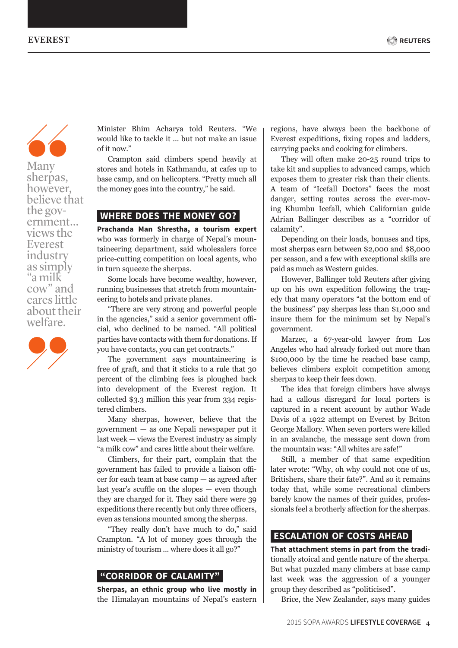Many sherpas, however, believe that the gov- ernment... views the Everest industry as simply "a milk cow" and cares little about their welfare.



Minister Bhim Acharya told Reuters. "We would like to tackle it ... but not make an issue of it now."

Crampton said climbers spend heavily at stores and hotels in Kathmandu, at cafes up to base camp, and on helicopters. "Pretty much all the money goes into the country," he said.

## **WHERE DOES THE MONEY GO?**

**Prachanda Man Shrestha, a tourism expert** who was formerly in charge of Nepal's mountaineering department, said wholesalers force price-cutting competition on local agents, who in turn squeeze the sherpas.

Some locals have become wealthy, however, running businesses that stretch from mountaineering to hotels and private planes.

"There are very strong and powerful people in the agencies," said a senior government official, who declined to be named. "All political parties have contacts with them for donations. If you have contacts, you can get contracts."

The government says mountaineering is free of graft, and that it sticks to a rule that 30 percent of the climbing fees is ploughed back into development of the Everest region. It collected \$3.3 million this year from 334 registered climbers.

Many sherpas, however, believe that the government — as one Nepali newspaper put it last week — views the Everest industry as simply "a milk cow" and cares little about their welfare.

Climbers, for their part, complain that the government has failed to provide a liaison officer for each team at base camp — as agreed after last year's scuffle on the slopes — even though they are charged for it. They said there were 39 expeditions there recently but only three officers, even as tensions mounted among the sherpas.

"They really don't have much to do," said Crampton. "A lot of money goes through the ministry of tourism ... where does it all go?"

## **"CORRIDOR OF CALAMITY"**

**Sherpas, an ethnic group who live mostly in**  the Himalayan mountains of Nepal's eastern regions, have always been the backbone of Everest expeditions, fixing ropes and ladders, carrying packs and cooking for climbers.

They will often make 20-25 round trips to take kit and supplies to advanced camps, which exposes them to greater risk than their clients. A team of "Icefall Doctors" faces the most danger, setting routes across the ever-moving Khumbu Icefall, which Californian guide Adrian Ballinger describes as a "corridor of calamity".

Depending on their loads, bonuses and tips, most sherpas earn between \$2,000 and \$8,000 per season, and a few with exceptional skills are paid as much as Western guides.

However, Ballinger told Reuters after giving up on his own expedition following the tragedy that many operators "at the bottom end of the business" pay sherpas less than \$1,000 and insure them for the minimum set by Nepal's government.

Marzec, a 67-year-old lawyer from Los Angeles who had already forked out more than \$100,000 by the time he reached base camp, believes climbers exploit competition among sherpas to keep their fees down.

The idea that foreign climbers have always had a callous disregard for local porters is captured in a recent account by author Wade Davis of a 1922 attempt on Everest by Briton George Mallory. When seven porters were killed in an avalanche, the message sent down from the mountain was: "All whites are safe!"

Still, a member of that same expedition later wrote: "Why, oh why could not one of us, Britishers, share their fate?". And so it remains today that, while some recreational climbers barely know the names of their guides, professionals feel a brotherly affection for the sherpas.

## **ESCALATION OF COSTS AHEAD**

**That attachment stems in part from the tradi**tionally stoical and gentle nature of the sherpa. But what puzzled many climbers at base camp last week was the aggression of a younger group they described as "politicised".

Brice, the New Zealander, says many guides